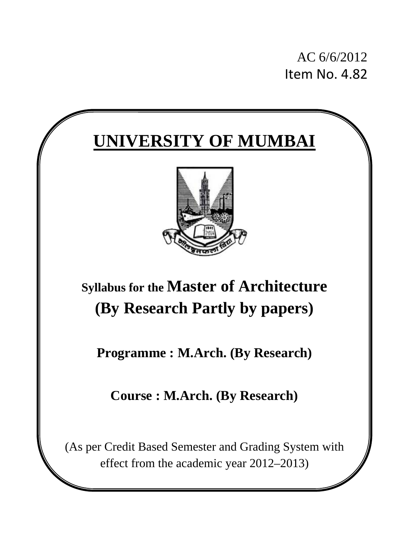AC 6/6/2012 Item No. 4.82

# **UNIVERSITY OF MUMBAI**



# **Syllabus for the Master of Architecture (By Research Partly by papers)**

**Programme : M.Arch. (By Research)** 

**Course : M.Arch. (By Research)**

(As per Credit Based Semester and Grading System with effect from the academic year 2012–2013)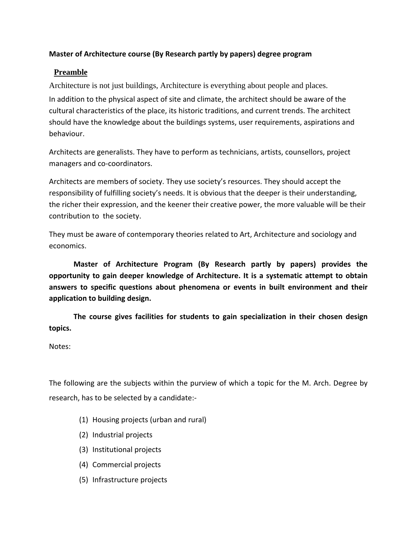#### **Master of Architecture course (By Research partly by papers) degree program**

### **Preamble**

Architecture is not just buildings, Architecture is everything about people and places. In addition to the physical aspect of site and climate, the architect should be aware of the cultural characteristics of the place, its historic traditions, and current trends. The architect should have the knowledge about the buildings systems, user requirements, aspirations and behaviour.

Architects are generalists. They have to perform as technicians, artists, counsellors, project managers and co‐coordinators.

Architects are members of society. They use society's resources. They should accept the responsibility of fulfilling society's needs. It is obvious that the deeper is their understanding, the richer their expression, and the keener their creative power, the more valuable will be their contribution to the society.

They must be aware of contemporary theories related to Art, Architecture and sociology and economics.

**Master of Architecture Program (By Research partly by papers) provides the opportunity to gain deeper knowledge of Architecture. It is a systematic attempt to obtain answers to specific questions about phenomena or events in built environment and their application to building design.** 

**The course gives facilities for students to gain specialization in their chosen design topics.**

Notes:

The following are the subjects within the purview of which a topic for the M. Arch. Degree by research, has to be selected by a candidate:‐

- (1) Housing projects (urban and rural)
- (2) Industrial projects
- (3) Institutional projects
- (4) Commercial projects
- (5) Infrastructure projects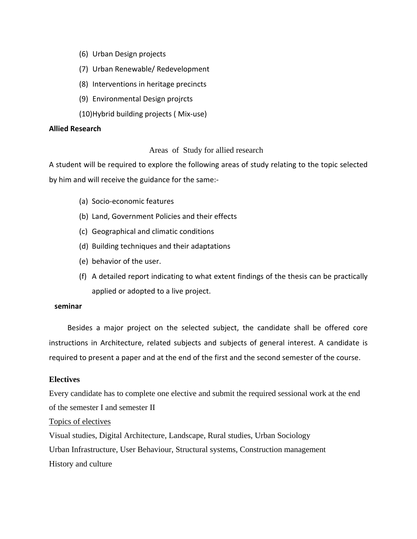- (6) Urban Design projects
- (7) Urban Renewable/ Redevelopment
- (8) Interventions in heritage precincts
- (9) Environmental Design projrcts
- (10)Hybrid building projects ( Mix‐use)

#### **Allied Research**

#### Areas of Study for allied research

A student will be required to explore the following areas of study relating to the topic selected by him and will receive the guidance for the same:‐

- (a) Socio‐economic features
- (b) Land, Government Policies and their effects
- (c) Geographical and climatic conditions
- (d) Building techniques and their adaptations
- (e) behavior of the user.
- (f) A detailed report indicating to what extent findings of the thesis can be practically applied or adopted to a live project.

#### **seminar**

 Besides a major project on the selected subject, the candidate shall be offered core instructions in Architecture, related subjects and subjects of general interest. A candidate is required to present a paper and at the end of the first and the second semester of the course.

#### **Electives**

Every candidate has to complete one elective and submit the required sessional work at the end of the semester I and semester II

#### Topics of electives

Visual studies, Digital Architecture, Landscape, Rural studies, Urban Sociology Urban Infrastructure, User Behaviour, Structural systems, Construction management History and culture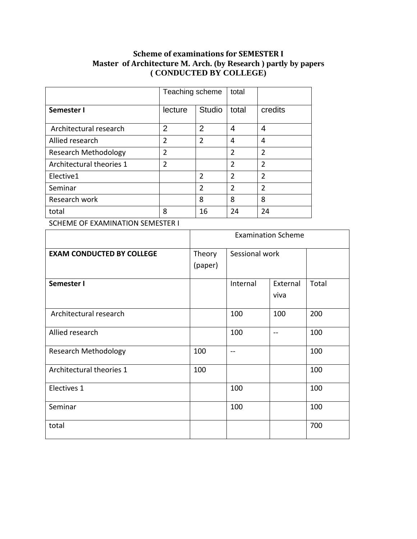#### **Scheme of examinations for SEMESTER I Master of Architecture M. Arch. (by Research ) partly by papers ( CONDUCTED BY COLLEGE)**

|                             | Teaching scheme |                | total          |                |
|-----------------------------|-----------------|----------------|----------------|----------------|
| Semester I                  | lecture         | Studio         | total          | credits        |
| Architectural research      | $\overline{2}$  | $\overline{2}$ | 4              | 4              |
| Allied research             | $\overline{2}$  | $\overline{2}$ | 4              | 4              |
| <b>Research Methodology</b> | $\overline{2}$  |                | $\overline{2}$ | $\overline{2}$ |
| Architectural theories 1    | $\overline{2}$  |                | $\overline{2}$ | $\overline{2}$ |
| Elective1                   |                 | $\mathfrak{p}$ | $\overline{2}$ | $\mathcal{P}$  |
| Seminar                     |                 | $\overline{2}$ | $\overline{2}$ | $\mathfrak z$  |
| Research work               |                 | 8              | 8              | 8              |
| total                       | 8               | 16             | 24             | 24             |

SCHEME OF EXAMINATION SEMESTER I

|                                  |                   | <b>Examination Scheme</b> |                  |       |  |
|----------------------------------|-------------------|---------------------------|------------------|-------|--|
| <b>EXAM CONDUCTED BY COLLEGE</b> | Theory<br>(paper) | Sessional work            |                  |       |  |
| Semester I                       |                   | Internal                  | External<br>viva | Total |  |
| Architectural research           |                   | 100                       | 100              | 200   |  |
| Allied research                  |                   | 100                       | $- -$            | 100   |  |
| <b>Research Methodology</b>      | 100               | $-$                       |                  | 100   |  |
| Architectural theories 1         | 100               |                           |                  | 100   |  |
| Electives 1                      |                   | 100                       |                  | 100   |  |
| Seminar                          |                   | 100                       |                  | 100   |  |
| total                            |                   |                           |                  | 700   |  |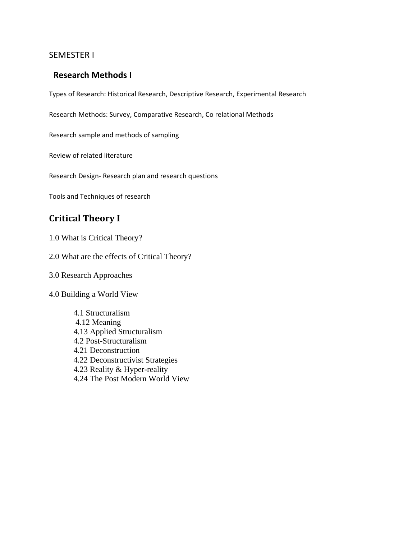#### SEMESTER I

#### **Research Methods I**

Types of Research: Historical Research, Descriptive Research, Experimental Research

Research Methods: Survey, Comparative Research, Co relational Methods

Research sample and methods of sampling

Review of related literature

Research Design‐ Research plan and research questions

Tools and Techniques of research

# **Critical Theory I**

1.0 What is Critical Theory?

2.0 What are the effects of Critical Theory?

3.0 Research Approaches

4.0 Building a World View

4.1 Structuralism 4.12 Meaning 4.13 Applied Structuralism 4.2 Post-Structuralism 4.21 Deconstruction 4.22 Deconstructivist Strategies 4.23 Reality & Hyper-reality 4.24 The Post Modern World View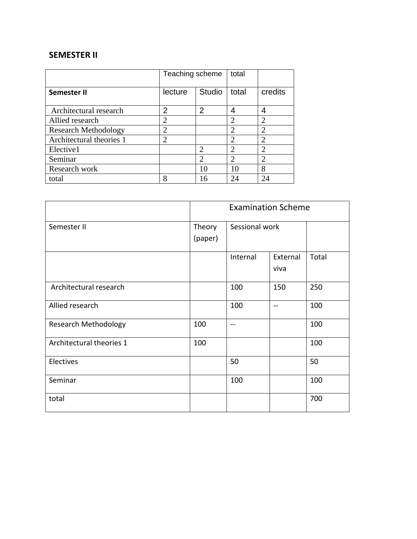## **SEMESTER II**

|                             | Teaching scheme             |                | total                       |                |
|-----------------------------|-----------------------------|----------------|-----------------------------|----------------|
| Semester II                 | lecture                     | <b>Studio</b>  | total                       | credits        |
| Architectural research      | 2                           | $\overline{2}$ | 4                           | 4              |
| Allied research             | 2                           |                | $\overline{2}$              | $\overline{2}$ |
| <b>Research Methodology</b> | $\overline{2}$              |                | $\overline{c}$              | $\overline{2}$ |
| Architectural theories 1    | $\mathcal{D}_{\mathcal{A}}$ |                | $\mathfrak{D}_{1}^{(1)}$    | $\mathfrak{D}$ |
| Elective1                   |                             | っ              | $\mathcal{D}_{\mathcal{A}}$ | $\overline{2}$ |
| Seminar                     |                             | ◠              | $\overline{2}$              | $\overline{2}$ |
| Research work               |                             | 10             | 10                          | 8              |
| total                       | 8                           | 16             | 24                          | 24             |

|                             |                   | <b>Examination Scheme</b> |                  |       |  |
|-----------------------------|-------------------|---------------------------|------------------|-------|--|
| Semester II                 | Theory<br>(paper) | Sessional work            |                  |       |  |
|                             |                   | Internal                  | External<br>viva | Total |  |
| Architectural research      |                   | 100                       | 150              | 250   |  |
| Allied research             |                   | 100                       | $\sim$ $\sim$    | 100   |  |
| <b>Research Methodology</b> | 100               |                           |                  | 100   |  |
| Architectural theories 1    | 100               |                           |                  | 100   |  |
| Electives                   |                   | 50                        |                  | 50    |  |
| Seminar                     |                   | 100                       |                  | 100   |  |
| total                       |                   |                           |                  | 700   |  |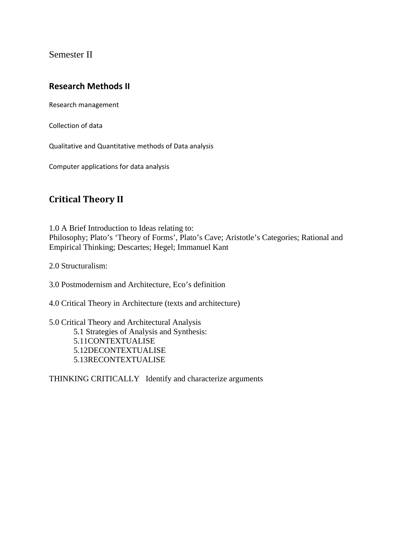Semester II

## **Research Methods II**

Research management

Collection of data

Qualitative and Quantitative methods of Data analysis

Computer applications for data analysis

# **Critical Theory II**

1.0 A Brief Introduction to Ideas relating to: Philosophy; Plato's 'Theory of Forms', Plato's Cave; Aristotle's Categories; Rational and Empirical Thinking; Descartes; Hegel; Immanuel Kant

2.0 Structuralism:

3.0 Postmodernism and Architecture, Eco's definition

4.0 Critical Theory in Architecture (texts and architecture)

5.0 Critical Theory and Architectural Analysis 5.1 Strategies of Analysis and Synthesis: 5.11CONTEXTUALISE 5.12DECONTEXTUALISE 5.13RECONTEXTUALISE

THINKING CRITICALLY Identify and characterize arguments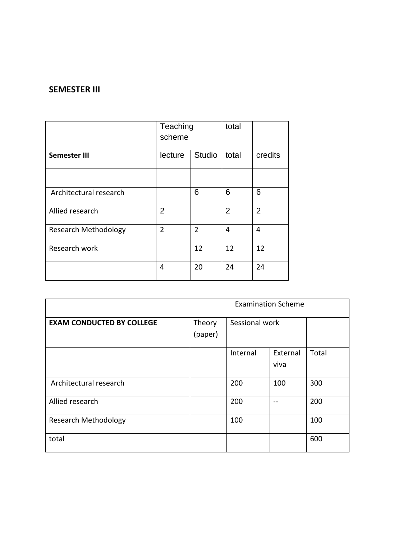#### **SEMESTER III**

|                             | Teaching<br>scheme       |                | total          |                |
|-----------------------------|--------------------------|----------------|----------------|----------------|
| Semester III                | <b>Studio</b><br>lecture |                | total          | credits        |
|                             |                          |                |                |                |
| Architectural research      |                          | 6              | 6              | 6              |
| Allied research             | 2                        |                | $\overline{2}$ | $\overline{2}$ |
| <b>Research Methodology</b> | $\overline{2}$           | $\overline{2}$ | 4              | 4              |
| Research work               |                          | 12             | 12             | 12             |
|                             | 4                        | 20             | 24             | 24             |

|                                  | <b>Examination Scheme</b> |                |          |       |
|----------------------------------|---------------------------|----------------|----------|-------|
| <b>EXAM CONDUCTED BY COLLEGE</b> | Theory<br>(paper)         | Sessional work |          |       |
|                                  |                           |                |          |       |
|                                  |                           | Internal       | External | Total |
|                                  |                           |                | viva     |       |
| Architectural research           |                           | 200            | 100      | 300   |
| Allied research                  |                           | 200            |          | 200   |
| <b>Research Methodology</b>      |                           | 100            |          | 100   |
| total                            |                           |                |          | 600   |